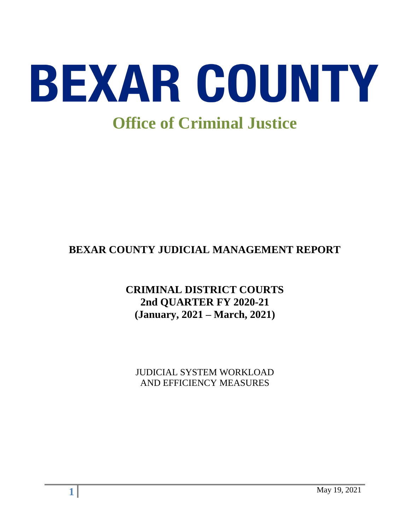

# **BEXAR COUNTY JUDICIAL MANAGEMENT REPORT**

# **CRIMINAL DISTRICT COURTS 2nd QUARTER FY 2020-21 (January, 2021 – March, 2021)**

JUDICIAL SYSTEM WORKLOAD AND EFFICIENCY MEASURES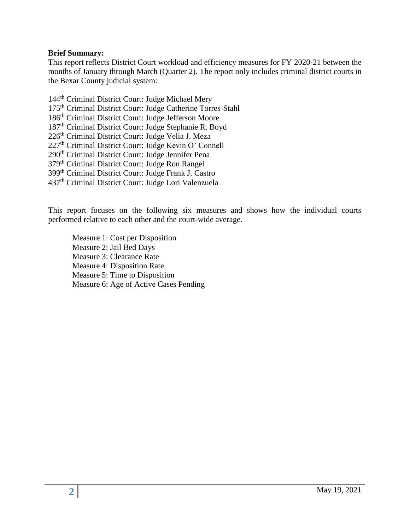#### **Brief Summary:**

This report reflects District Court workload and efficiency measures for FY 2020-21 between the months of January through March (Quarter 2). The report only includes criminal district courts in the Bexar County judicial system:

144<sup>th</sup> Criminal District Court: Judge Michael Mery th Criminal District Court: Judge Catherine Torres-Stahl th Criminal District Court: Judge Jefferson Moore th Criminal District Court: Judge Stephanie R. Boyd 226<sup>th</sup> Criminal District Court: Judge Velia J. Meza th Criminal District Court: Judge Kevin O' Connell 290<sup>th</sup> Criminal District Court: Judge Jennifer Pena th Criminal District Court: Judge Ron Rangel th Criminal District Court: Judge Frank J. Castro th Criminal District Court: Judge Lori Valenzuela

This report focuses on the following six measures and shows how the individual courts performed relative to each other and the court-wide average.

Measure 1: Cost per Disposition Measure 2: Jail Bed Days Measure 3: Clearance Rate Measure 4: Disposition Rate Measure 5: Time to Disposition Measure 6: Age of Active Cases Pending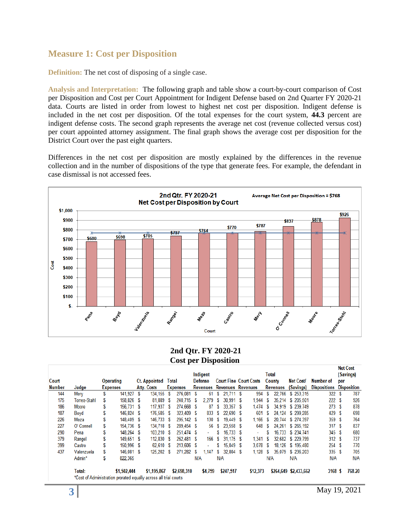## **Measure 1: Cost per Disposition**

**Definition:** The net cost of disposing of a single case.

**Analysis and Interpretation:** The following graph and table show a court-by-court comparison of Cost per Disposition and Cost per Court Appointment for Indigent Defense based on 2nd Quarter FY 2020-21 data. Courts are listed in order from lowest to highest net cost per disposition. Indigent defense is included in the net cost per disposition. Of the total expenses for the court system, **44.3** percent are indigent defense costs. The second graph represents the average net cost (revenue collected versus cost) per court appointed attorney assignment. The final graph shows the average cost per disposition for the District Court over the past eight quarters.

Differences in the net cost per disposition are mostly explained by the differences in the revenue collection and in the number of dispositions of the type that generate fees. For example, the defendant in case dismissal is not accessed fees.



#### **2nd Qtr. FY 2020-21 Cost per Disposition**

|               |                                                                            |   |                  |                      |   |                 |     |                |                            |             |   |                               |                 |               |                       |                     |     | net cost           |
|---------------|----------------------------------------------------------------------------|---|------------------|----------------------|---|-----------------|-----|----------------|----------------------------|-------------|---|-------------------------------|-----------------|---------------|-----------------------|---------------------|-----|--------------------|
|               |                                                                            |   |                  |                      |   |                 |     | Indigent       |                            |             |   |                               |                 | Total         |                       |                     |     | (Savings)          |
| Court         |                                                                            |   | <b>Operating</b> | <b>Ct. Appointed</b> |   | Total           |     | <b>Defense</b> |                            |             |   | <b>Court Fine Court Costs</b> |                 | <b>County</b> | <b>Net Cost/</b>      | Number of           | per |                    |
| <b>Number</b> | Judge                                                                      |   | <b>Expenses</b>  | <b>Atty. Costs</b>   |   | <b>Expenses</b> |     |                | Revenues Revenues Revenues |             |   |                               | <b>Revenues</b> |               | (Savings)             | <b>Dispositions</b> |     | <b>Disposition</b> |
| 144           | Mery                                                                       | S | 141.927 \$       | 134.155              | S | 276,081         | S   | 61             | S                          | 21.711 S    |   | 994                           | S               | 22.766        | \$253,315             | 322                 | S   | 787                |
| 175           | Torres-Stahl                                                               | S | 158,826 \$       | 81.889               | S | 240.715         | s   | 2.279          | S                          | 30.991 S    |   | 1.944                         | S               | 35.214        | \$205.501             | 222S                |     | 926                |
| 186           | <b>Moore</b>                                                               | S | 156.731 \$       | 117.937              | S | 274,668         | S   | 87             | s                          | 33.357 \$   |   | 1.474                         | s               |               | 34.919 \$ 239.749     | 273S                |     | 878                |
| 187           | Boyd                                                                       | S | 146.824 \$       | 176,585              | S | 323,409         | -S  | 833            | S                          | 22.690S     |   | 601                           | S               | 24.124        | \$299,285             | 429 \$              |     | 698                |
| 226           | Meza                                                                       | S | 148.409 \$       | 146,733 \$           |   | 295.142 \$      |     | 130            | S                          | 19.449 S    |   | 1,166                         | S               | 20.744        | \$274.397             | 359 \$              |     | 764                |
| 227           | O' Connell                                                                 |   | 154.736 \$       | 134.718 \$           |   | 289.454 \$      |     | 56             | S                          | 23.558 \$   |   | 648                           | S               | 24.261        | \$265,192             | 317S                |     | 837                |
| 290           | Pena                                                                       | S | 148,264 \$       | $103.210$ \$         |   | 251.474 \$      |     | ٠              | S                          | $16.733$ \$ |   | ÷.                            | S               |               | 16.733 \$ 234.741     | 345S                |     | 680                |
| 379           | Rangel                                                                     | S | 149.651 \$       | 112.830              | S | 262.481 \$      |     | 166            | S                          | $31.175$ \$ |   | 1.341                         | S               | 32.682        | \$229.799             | 312S                |     | 737                |
| 399           | Castro                                                                     | S | 150.996 \$       | 62.610               | S | 213.606         | S   | ٠              |                            | $15.049$ \$ |   | 3.078                         | s               | 18.126        | \$195,480             | 254S                |     | 770                |
| 437           | Valenzuela                                                                 |   | 146.081 \$       | 125.202              | S | 271.282         | S   | .147           | S                          | 32,804      | S | 1,128                         | s               | 35,079        | \$236,203             | 335S                |     | 705                |
|               | Admin*                                                                     | S | 822,365          |                      |   |                 | N/A |                |                            | N/A         |   |                               | N/A             |               | N/A                   | N/A                 |     | N/A                |
|               | Total:<br>*Cost of Administration prorated equally across all trial courts |   | \$1,502,444      | \$1,195,867          |   | \$2,698,310     |     | \$4,759        |                            | \$247,517   |   | \$12,373                      |                 |               | \$264,649 \$2,433,662 | 3168 \$             |     | 768.20             |
|               |                                                                            |   |                  |                      |   |                 |     |                |                            |             |   |                               |                 |               |                       |                     |     |                    |

Not Cost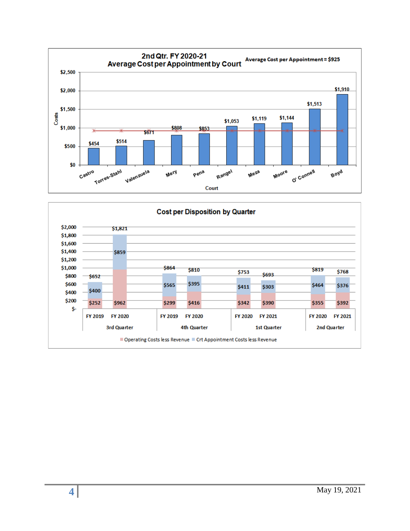

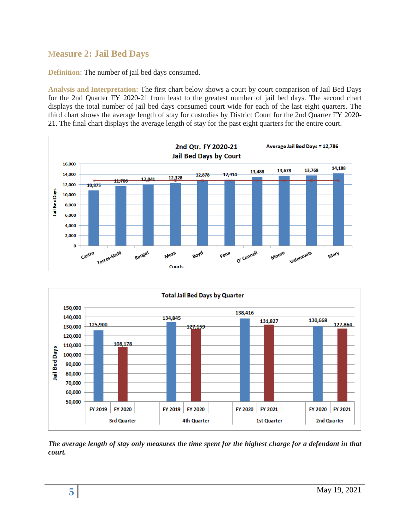# **Measure 2: Jail Bed Days**

**Definition:** The number of jail bed days consumed.

**Analysis and Interpretation:** The first chart below shows a court by court comparison of Jail Bed Days for the 2nd Quarter FY 2020-21 from least to the greatest number of jail bed days. The second chart displays the total number of jail bed days consumed court wide for each of the last eight quarters. The third chart shows the average length of stay for custodies by District Court for the 2nd Quarter FY 2020- 21. The final chart displays the average length of stay for the past eight quarters for the entire court.





*The average length of stay only measures the time spent for the highest charge for a defendant in that court.*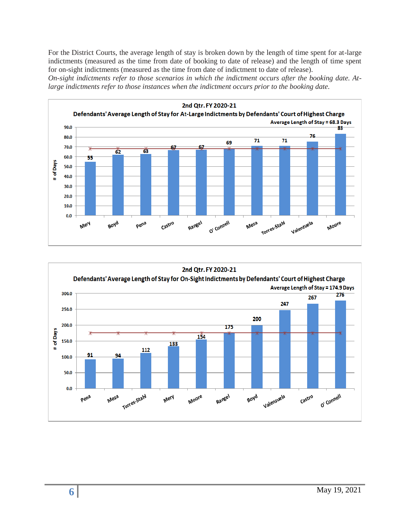For the District Courts, the average length of stay is broken down by the length of time spent for at-large indictments (measured as the time from date of booking to date of release) and the length of time spent for on-sight indictments (measured as the time from date of indictment to date of release).

*On-sight indictments refer to those scenarios in which the indictment occurs after the booking date. Atlarge indictments refer to those instances when the indictment occurs prior to the booking date.* 



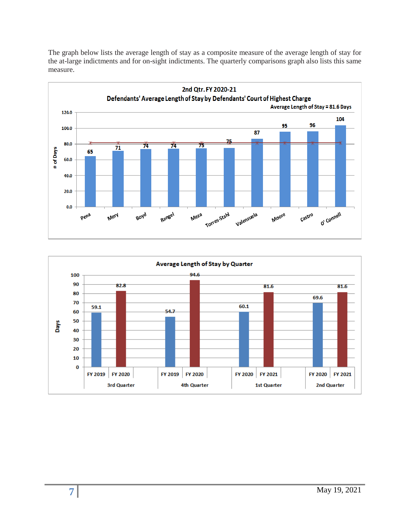The graph below lists the average length of stay as a composite measure of the average length of stay for the at-large indictments and for on-sight indictments. The quarterly comparisons graph also lists this same measure.



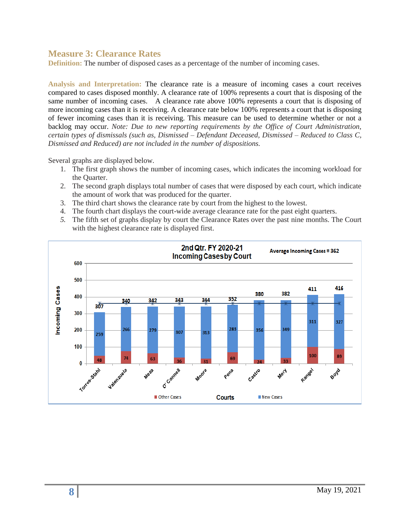### **Measure 3: Clearance Rates**

**Definition:** The number of disposed cases as a percentage of the number of incoming cases.

**Analysis and Interpretation:** The clearance rate is a measure of incoming cases a court receives compared to cases disposed monthly. A clearance rate of 100% represents a court that is disposing of the same number of incoming cases. A clearance rate above 100% represents a court that is disposing of more incoming cases than it is receiving. A clearance rate below 100% represents a court that is disposing of fewer incoming cases than it is receiving. This measure can be used to determine whether or not a backlog may occur. *Note: Due to new reporting requirements by the Office of Court Administration, certain types of dismissals (such as, Dismissed – Defendant Deceased, Dismissed – Reduced to Class C, Dismissed and Reduced) are not included in the number of dispositions.*

Several graphs are displayed below.

- 1. The first graph shows the number of incoming cases, which indicates the incoming workload for the Quarter.
- 2. The second graph displays total number of cases that were disposed by each court, which indicate the amount of work that was produced for the quarter.
- 3. The third chart shows the clearance rate by court from the highest to the lowest.
- 4. The fourth chart displays the court-wide average clearance rate for the past eight quarters.
- *5.* The fifth set of graphs display by court the Clearance Rates over the past nine months. The Court with the highest clearance rate is displayed first.

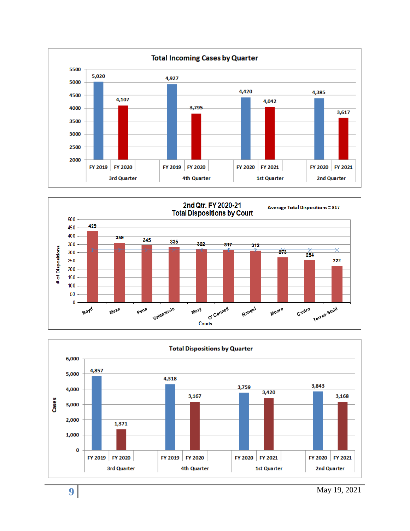



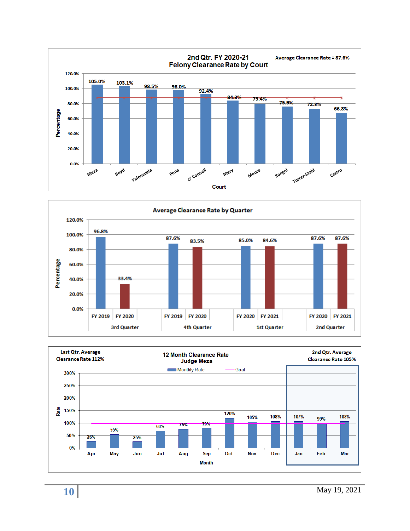



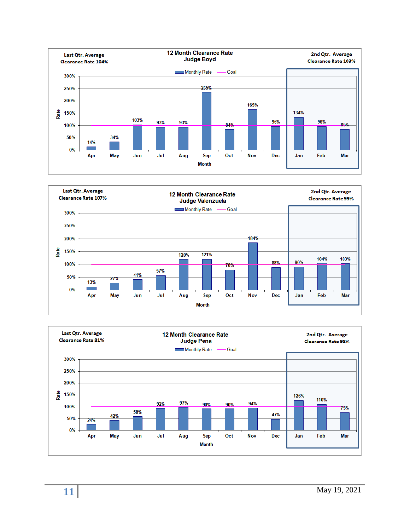



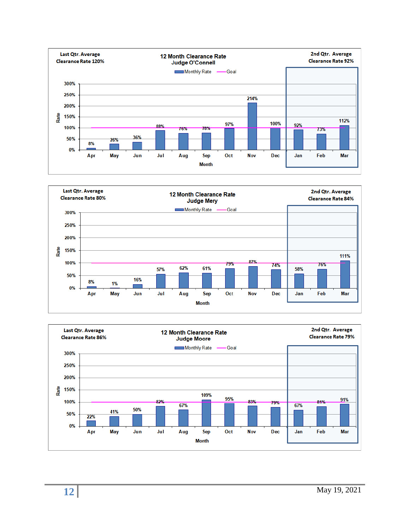



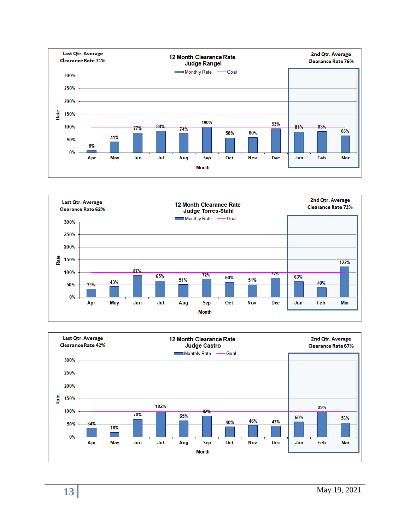



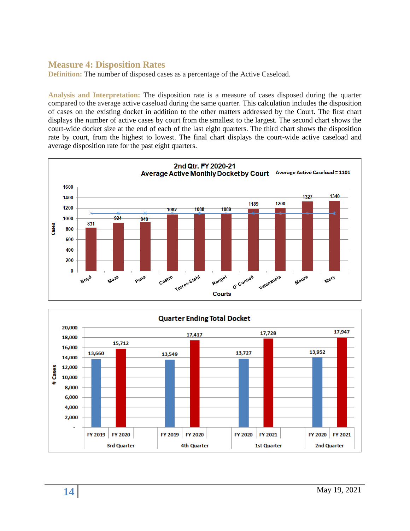## **Measure 4: Disposition Rates**

**Definition:** The number of disposed cases as a percentage of the Active Caseload.

**Analysis and Interpretation:** The disposition rate is a measure of cases disposed during the quarter compared to the average active caseload during the same quarter. This calculation includes the disposition of cases on the existing docket in addition to the other matters addressed by the Court. The first chart displays the number of active cases by court from the smallest to the largest. The second chart shows the court-wide docket size at the end of each of the last eight quarters. The third chart shows the disposition rate by court, from the highest to lowest. The final chart displays the court-wide active caseload and average disposition rate for the past eight quarters.



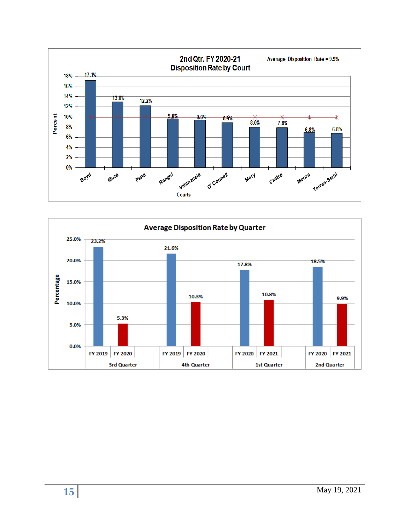

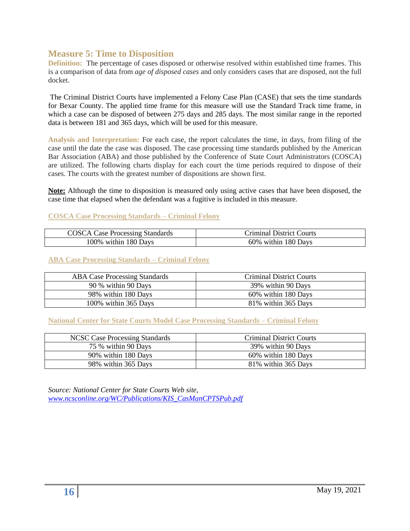### **Measure 5: Time to Disposition**

**Definition:** The percentage of cases disposed or otherwise resolved within established time frames. This is a comparison of data from *age of disposed cases* and only considers cases that are disposed, not the full docket.

The Criminal District Courts have implemented a Felony Case Plan (CASE) that sets the time standards for Bexar County. The applied time frame for this measure will use the Standard Track time frame, in which a case can be disposed of between 275 days and 285 days. The most similar range in the reported data is between 181 and 365 days, which will be used for this measure.

**Analysis and Interpretation:** For each case, the report calculates the time, in days, from filing of the case until the date the case was disposed. The case processing time standards published by the American Bar Association (ABA) and those published by the Conference of State Court Administrators (COSCA) are utilized. The following charts display for each court the time periods required to dispose of their cases. The courts with the greatest number of dispositions are shown first.

**Note:** Although the time to disposition is measured only using active cases that have been disposed, the case time that elapsed when the defendant was a fugitive is included in this measure.

#### **COSCA Case Processing Standards – Criminal Felony**

| <b>COSCA Case Processing Standards</b> | Criminal District Courts |
|----------------------------------------|--------------------------|
| 100% within 180 Days                   | 60% within 180 Days      |

#### **ABA Case Processing Standards – Criminal Felony**

| <b>ABA Case Processing Standards</b> | <b>Criminal District Courts</b> |
|--------------------------------------|---------------------------------|
| 90 % within 90 Days                  | 39% within 90 Days              |
| 98% within 180 Days                  | 60% within 180 Days             |
| 100% within 365 Days                 | 81% within 365 Days             |

#### **National Center for State Courts Model Case Processing Standards – Criminal Felony**

| NCSC Case Processing Standards | <b>Criminal District Courts</b> |
|--------------------------------|---------------------------------|
| 75 % within 90 Days            | 39% within 90 Days              |
| 90% within 180 Days            | 60% within 180 Days             |
| 98% within 365 Days            | 81% within 365 Days             |

*Source: National Center for State Courts Web site, [www.ncsconline.org/WC/Publications/KIS\\_CasManCPTSPub.pdf](http://www.ncsconline.org/WC/Publications/KIS_CasManCPTSPub.pdf)*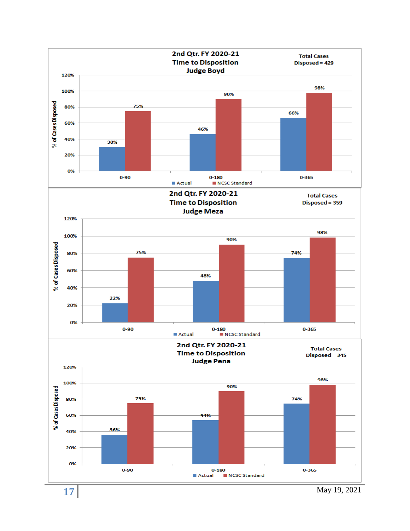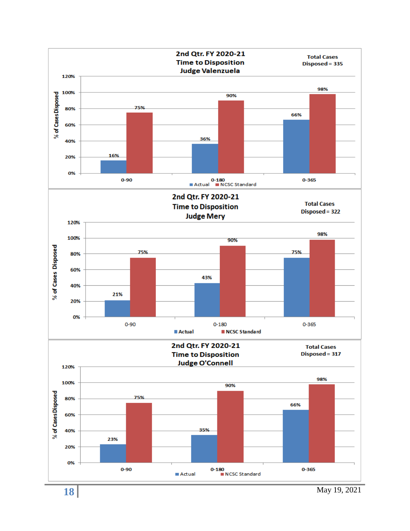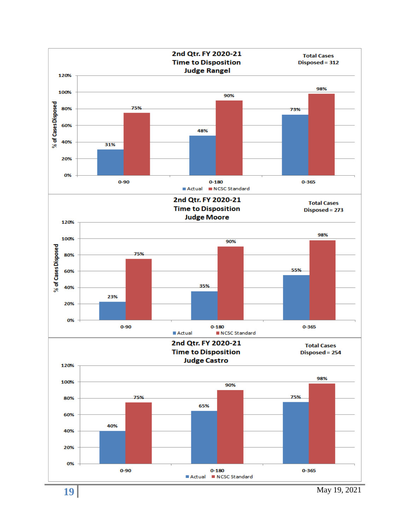

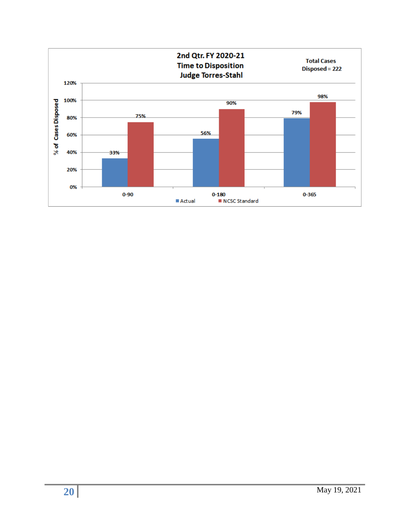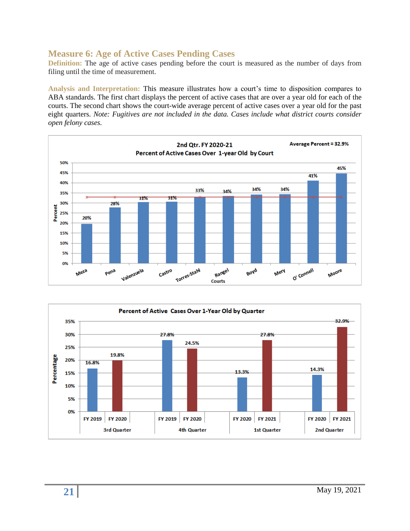# **Measure 6: Age of Active Cases Pending Cases**

**Definition:** The age of active cases pending before the court is measured as the number of days from filing until the time of measurement.

**Analysis and Interpretation:** This measure illustrates how a court's time to disposition compares to ABA standards. The first chart displays the percent of active cases that are over a year old for each of the courts. The second chart shows the court-wide average percent of active cases over a year old for the past eight quarters. *Note: Fugitives are not included in the data. Cases include what district courts consider open felony cases.*



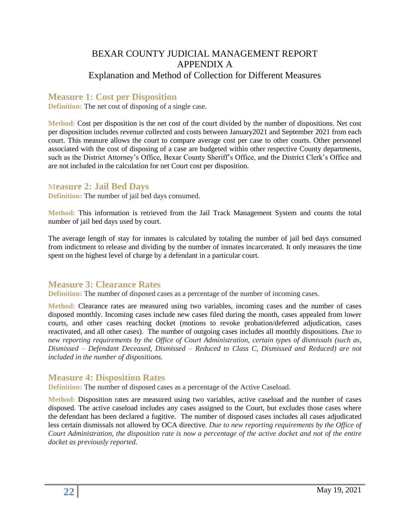# BEXAR COUNTY JUDICIAL MANAGEMENT REPORT APPENDIX A Explanation and Method of Collection for Different Measures

# **Measure 1: Cost per Disposition**

**Definition:** The net cost of disposing of a single case.

**Method:** Cost per disposition is the net cost of the court divided by the number of dispositions. Net cost per disposition includes revenue collected and costs between January2021 and September 2021 from each court. This measure allows the court to compare average cost per case to other courts. Other personnel associated with the cost of disposing of a case are budgeted within other respective County departments, such as the District Attorney's Office, Bexar County Sheriff's Office, and the District Clerk's Office and are not included in the calculation for net Court cost per disposition.

### **Measure 2: Jail Bed Days**

**Definition:** The number of jail bed days consumed.

**Method:** This information is retrieved from the Jail Track Management System and counts the total number of jail bed days used by court.

The average length of stay for inmates is calculated by totaling the number of jail bed days consumed from indictment to release and dividing by the number of inmates incarcerated. It only measures the time spent on the highest level of charge by a defendant in a particular court.

## **Measure 3: Clearance Rates**

**Definition:** The number of disposed cases as a percentage of the number of incoming cases.

**Method:** Clearance rates are measured using two variables, incoming cases and the number of cases disposed monthly. Incoming cases include new cases filed during the month, cases appealed from lower courts, and other cases reaching docket (motions to revoke probation/deferred adjudication, cases reactivated, and all other cases). The number of outgoing cases includes all monthly dispositions. *Due to new reporting requirements by the Office of Court Administration, certain types of dismissals (such as, Dismissed – Defendant Deceased, Dismissed – Reduced to Class C, Dismissed and Reduced) are not included in the number of dispositions.*

## **Measure 4: Disposition Rates**

**Definition:** The number of disposed cases as a percentage of the Active Caseload.

**Method:** Disposition rates are measured using two variables, active caseload and the number of cases disposed. The active caseload includes any cases assigned to the Court, but excludes those cases where the defendant has been declared a fugitive. The number of disposed cases includes all cases adjudicated less certain dismissals not allowed by OCA directive. *Due to new reporting requirements by the Office of Court Administration, the disposition rate is now a percentage of the active docket and not of the entire docket as previously reported.*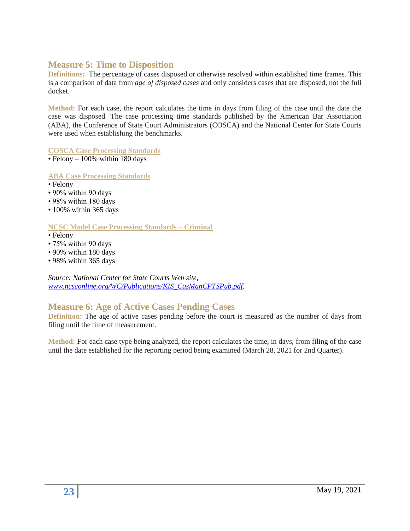## **Measure 5: Time to Disposition**

**Definitions:** The percentage of cases disposed or otherwise resolved within established time frames. This is a comparison of data from *age of disposed cases* and only considers cases that are disposed, not the full docket.

**Method:** For each case, the report calculates the time in days from filing of the case until the date the case was disposed. The case processing time standards published by the American Bar Association (ABA), the Conference of State Court Administrators (COSCA) and the National Center for State Courts were used when establishing the benchmarks.

**COSCA Case Processing Standards** 

 $\cdot$  Felony – 100% within 180 days

**ABA Case Processing Standards**

- Felony
- 90% within 90 days
- 98% within 180 days
- 100% within 365 days

#### **NCSC Model Case Processing Standards – Criminal**

- Felony
- 75% within 90 days
- 90% within 180 days
- 98% within 365 days

*Source: National Center for State Courts Web site, [www.ncsconline.org/WC/Publications/KIS\\_CasManCPTSPub.pdf.](http://www.ncsconline.org/WC/Publications/KIS_CasManCPTSPub.pdf)*

# **Measure 6: Age of Active Cases Pending Cases**

**Definition:** The age of active cases pending before the court is measured as the number of days from filing until the time of measurement.

**Method:** For each case type being analyzed, the report calculates the time, in days, from filing of the case until the date established for the reporting period being examined (March 28, 2021 for 2nd Quarter).